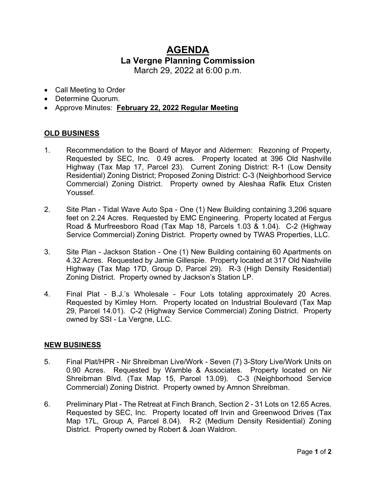## **AGENDA La Vergne Planning Commission**  March 29, 2022 at 6:00 p.m.

- Call Meeting to Order
- Determine Quorum.
- Approve Minutes: **February 22, 2022 Regular Meeting**

## **OLD BUSINESS**

- 1. Recommendation to the Board of Mayor and Aldermen: Rezoning of Property, Requested by SEC, Inc. 0.49 acres. Property located at 396 Old Nashville Highway (Tax Map 17, Parcel 23). Current Zoning District: R-1 (Low Density Residential) Zoning District; Proposed Zoning District: C-3 (Neighborhood Service Commercial) Zoning District. Property owned by Aleshaa Rafik Etux Cristen Youssef.
- 2. Site Plan Tidal Wave Auto Spa One (1) New Building containing 3,206 square feet on 2.24 Acres. Requested by EMC Engineering. Property located at Fergus Road & Murfreesboro Road (Tax Map 18, Parcels 1.03 & 1.04). C-2 (Highway Service Commercial) Zoning District. Property owned by TWAS Properties, LLC.
- 3. Site Plan Jackson Station One (1) New Building containing 60 Apartments on 4.32 Acres. Requested by Jamie Gillespie. Property located at 317 Old Nashville Highway (Tax Map 17D, Group D, Parcel 29). R-3 (High Density Residential) Zoning District. Property owned by Jackson's Station LP.
- 4. Final Plat B.J.'s Wholesale Four Lots totaling approximately 20 Acres. Requested by Kimley Horn. Property located on Industrial Boulevard (Tax Map 29, Parcel 14.01). C-2 (Highway Service Commercial) Zoning District. Property owned by SSI - La Vergne, LLC.

## **NEW BUSINESS**

- 5. Final Plat/HPR Nir Shreibman Live/Work Seven (7) 3-Story Live/Work Units on 0.90 Acres. Requested by Wamble & Associates. Property located on Nir Shreibman Blvd. (Tax Map 15, Parcel 13.09). C-3 (Neighborhood Service Commercial) Zoning District. Property owned by Amnon Shreibman.
- 6. Preliminary Plat The Retreat at Finch Branch, Section 2 31 Lots on 12.65 Acres. Requested by SEC, Inc. Property located off Irvin and Greenwood Drives (Tax Map 17L, Group A, Parcel 8.04). R-2 (Medium Density Residential) Zoning District. Property owned by Robert & Joan Waldron.